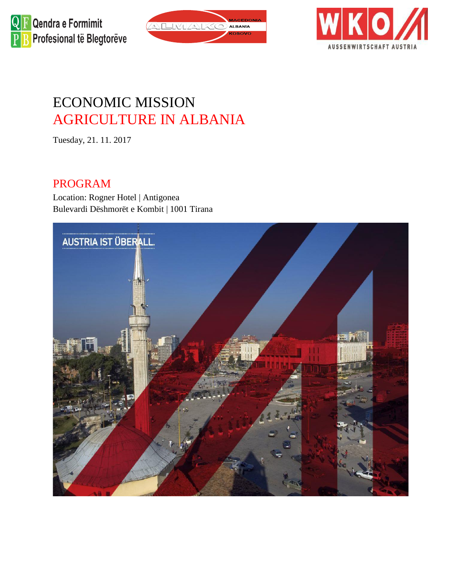





# ECONOMIC MISSION AGRICULTURE IN ALBANIA

Tuesday, 21. 11. 2017

#### PROGRAM

Location: Rogner Hotel | Antigonea Bulevardi Dëshmorët e Kombit | 1001 Tirana

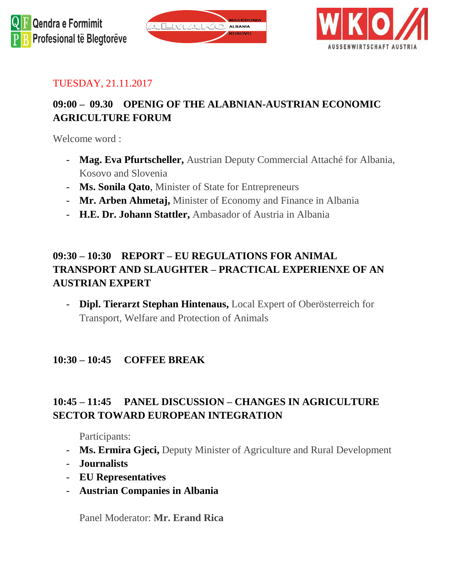



#### TUESDAY, 21.11.2017

## **09:00 – 09.30 OPENIG OF THE ALABNIAN-AUSTRIAN ECONOMIC AGRICULTURE FORUM**

Welcome word :

- **Mag. Eva Pfurtscheller,** Austrian Deputy Commercial Attaché for Albania, Kosovo and Slovenia
- **Ms. Sonila Qato**, Minister of State for Entrepreneurs
- **Mr. Arben Ahmetaj,** Minister of Economy and Finance in Albania
- **H.E. Dr. Johann Stattler,** Ambasador of Austria in Albania

#### **09:30 – 10:30 REPORT – EU REGULATIONS FOR ANIMAL TRANSPORT AND SLAUGHTER – PRACTICAL EXPERIENXE OF AN AUSTRIAN EXPERT**

- **Dipl. Tierarzt Stephan Hintenaus,** Local Expert of Oberösterreich for Transport, Welfare and Protection of Animals

#### **10:30 – 10:45 COFFEE BREAK**

#### **10:45 – 11:45 PANEL DISCUSSION – CHANGES IN AGRICULTURE SECTOR TOWARD EUROPEAN INTEGRATION**

Participants:

- **Ms. Ermira Gjeci,** Deputy Minister of Agriculture and Rural Development
- **Journalists**
- **EU Representatives**
- **Austrian Companies in Albania**

Panel Moderator: **Mr. Erand Rica**